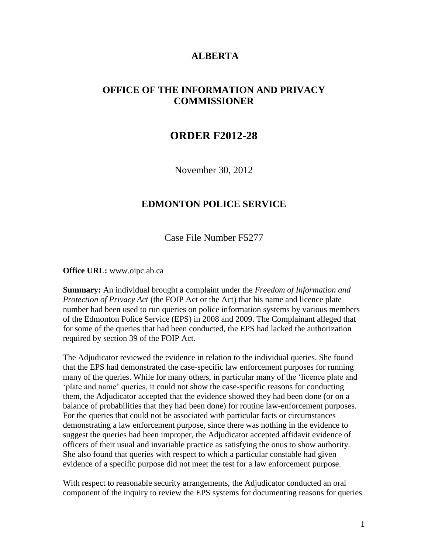#### **ALBERTA**

# **OFFICE OF THE INFORMATION AND PRIVACY COMMISSIONER**

# **ORDER F2012-28**

November 30, 2012

#### **EDMONTON POLICE SERVICE**

Case File Number F5277

**Office URL:** www.oipc.ab.ca

**Summary:** An individual brought a complaint under the *Freedom of Information and Protection of Privacy Act* (the FOIP Act or the Act) that his name and licence plate number had been used to run queries on police information systems by various members of the Edmonton Police Service (EPS) in 2008 and 2009. The Complainant alleged that for some of the queries that had been conducted, the EPS had lacked the authorization required by section 39 of the FOIP Act.

The Adjudicator reviewed the evidence in relation to the individual queries. She found that the EPS had demonstrated the case-specific law enforcement purposes for running many of the queries. While for many others, in particular many of the "licence plate and "plate and name" queries, it could not show the case-specific reasons for conducting them, the Adjudicator accepted that the evidence showed they had been done (or on a balance of probabilities that they had been done) for routine law-enforcement purposes. For the queries that could not be associated with particular facts or circumstances demonstrating a law enforcement purpose, since there was nothing in the evidence to suggest the queries had been improper, the Adjudicator accepted affidavit evidence of officers of their usual and invariable practice as satisfying the onus to show authority. She also found that queries with respect to which a particular constable had given evidence of a specific purpose did not meet the test for a law enforcement purpose.

With respect to reasonable security arrangements, the Adjudicator conducted an oral component of the inquiry to review the EPS systems for documenting reasons for queries.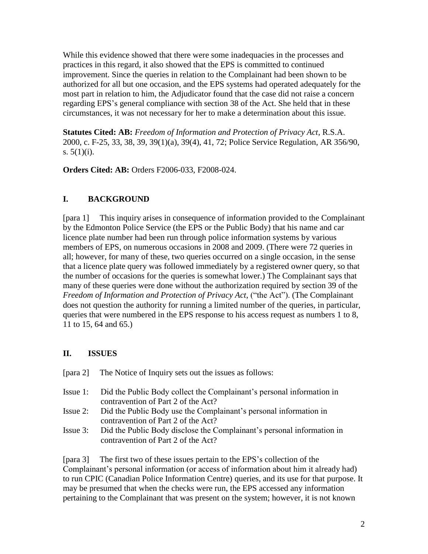While this evidence showed that there were some inadequacies in the processes and practices in this regard, it also showed that the EPS is committed to continued improvement. Since the queries in relation to the Complainant had been shown to be authorized for all but one occasion, and the EPS systems had operated adequately for the most part in relation to him, the Adjudicator found that the case did not raise a concern regarding EPS"s general compliance with section 38 of the Act. She held that in these circumstances, it was not necessary for her to make a determination about this issue.

**Statutes Cited: AB:** *Freedom of Information and Protection of Privacy Act*, R.S.A. 2000, c. F-25, 33, 38, 39, 39(1)(a), 39(4), 41, 72; Police Service Regulation, AR 356/90, s.  $5(1)(i)$ .

**Orders Cited: AB:** Orders F2006-033, F2008-024.

# **I. BACKGROUND**

[para 1] This inquiry arises in consequence of information provided to the Complainant by the Edmonton Police Service (the EPS or the Public Body) that his name and car licence plate number had been run through police information systems by various members of EPS, on numerous occasions in 2008 and 2009. (There were 72 queries in all; however, for many of these, two queries occurred on a single occasion, in the sense that a licence plate query was followed immediately by a registered owner query, so that the number of occasions for the queries is somewhat lower.) The Complainant says that many of these queries were done without the authorization required by section 39 of the *Freedom of Information and Protection of Privacy Act*, ("the Act"). (The Complainant does not question the authority for running a limited number of the queries, in particular, queries that were numbered in the EPS response to his access request as numbers 1 to 8, 11 to 15, 64 and 65.)

## **II. ISSUES**

[para 2] The Notice of Inquiry sets out the issues as follows:

- Issue 1: Did the Public Body collect the Complainant"s personal information in contravention of Part 2 of the Act?
- Issue 2: Did the Public Body use the Complainant"s personal information in contravention of Part 2 of the Act?
- Issue 3: Did the Public Body disclose the Complainant's personal information in contravention of Part 2 of the Act?

[para 3] The first two of these issues pertain to the EPS"s collection of the Complainant's personal information (or access of information about him it already had) to run CPIC (Canadian Police Information Centre) queries, and its use for that purpose. It may be presumed that when the checks were run, the EPS accessed any information pertaining to the Complainant that was present on the system; however, it is not known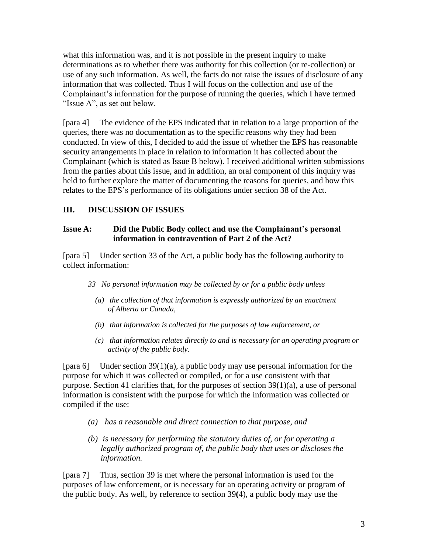what this information was, and it is not possible in the present inquiry to make determinations as to whether there was authority for this collection (or re-collection) or use of any such information. As well, the facts do not raise the issues of disclosure of any information that was collected. Thus I will focus on the collection and use of the Complainant's information for the purpose of running the queries, which I have termed "Issue A", as set out below.

[para 4] The evidence of the EPS indicated that in relation to a large proportion of the queries, there was no documentation as to the specific reasons why they had been conducted. In view of this, I decided to add the issue of whether the EPS has reasonable security arrangements in place in relation to information it has collected about the Complainant (which is stated as Issue B below). I received additional written submissions from the parties about this issue, and in addition, an oral component of this inquiry was held to further explore the matter of documenting the reasons for queries, and how this relates to the EPS"s performance of its obligations under section 38 of the Act.

# **III. DISCUSSION OF ISSUES**

#### **Issue A: Did the Public Body collect and use the Complainant's personal information in contravention of Part 2 of the Act?**

[para 5]Under section 33 of the Act, a public body has the following authority to collect information:

- *33 No personal information may be collected by or for a public body unless*
	- *(a) the collection of that information is expressly authorized by an enactment of Alberta or Canada,*
	- *(b) that information is collected for the purposes of law enforcement, or*
	- *(c) that information relates directly to and is necessary for an operating program or activity of the public body.*

[para 6] Under section  $39(1)(a)$ , a public body may use personal information for the purpose for which it was collected or compiled, or for a use consistent with that purpose. Section 41 clarifies that, for the purposes of section  $39(1)(a)$ , a use of personal information is consistent with the purpose for which the information was collected or compiled if the use:

- *(a) has a reasonable and direct connection to that purpose, and*
- *(b) is necessary for performing the statutory duties of, or for operating a legally authorized program of, the public body that uses or discloses the information.*

[para 7]Thus, section 39 is met where the personal information is used for the purposes of law enforcement, or is necessary for an operating activity or program of the public body. As well, by reference to section 39**(**4), a public body may use the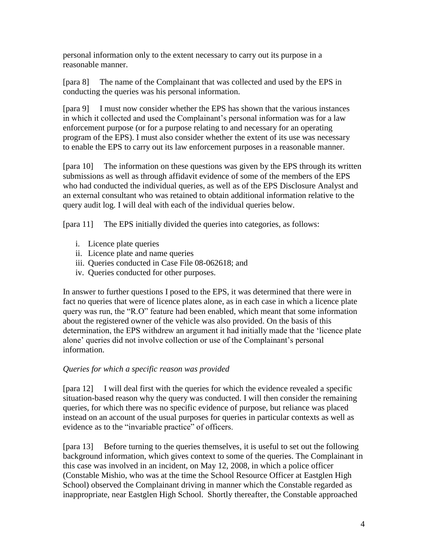personal information only to the extent necessary to carry out its purpose in a reasonable manner.

[para 8] The name of the Complainant that was collected and used by the EPS in conducting the queries was his personal information.

[para 9] I must now consider whether the EPS has shown that the various instances in which it collected and used the Complainant's personal information was for a law enforcement purpose (or for a purpose relating to and necessary for an operating program of the EPS). I must also consider whether the extent of its use was necessary to enable the EPS to carry out its law enforcement purposes in a reasonable manner.

[para 10] The information on these questions was given by the EPS through its written submissions as well as through affidavit evidence of some of the members of the EPS who had conducted the individual queries, as well as of the EPS Disclosure Analyst and an external consultant who was retained to obtain additional information relative to the query audit log. I will deal with each of the individual queries below.

[para 11] The EPS initially divided the queries into categories, as follows:

- i. Licence plate queries
- ii. Licence plate and name queries
- iii. Queries conducted in Case File 08-062618; and
- iv. Queries conducted for other purposes.

In answer to further questions I posed to the EPS, it was determined that there were in fact no queries that were of licence plates alone, as in each case in which a licence plate query was run, the "R.O" feature had been enabled, which meant that some information about the registered owner of the vehicle was also provided. On the basis of this determination, the EPS withdrew an argument it had initially made that the "licence plate alone' queries did not involve collection or use of the Complainant's personal information.

## *Queries for which a specific reason was provided*

[para 12] I will deal first with the queries for which the evidence revealed a specific situation-based reason why the query was conducted. I will then consider the remaining queries, for which there was no specific evidence of purpose, but reliance was placed instead on an account of the usual purposes for queries in particular contexts as well as evidence as to the "invariable practice" of officers.

[para 13] Before turning to the queries themselves, it is useful to set out the following background information, which gives context to some of the queries. The Complainant in this case was involved in an incident, on May 12, 2008, in which a police officer (Constable Mishio, who was at the time the School Resource Officer at Eastglen High School) observed the Complainant driving in manner which the Constable regarded as inappropriate, near Eastglen High School. Shortly thereafter, the Constable approached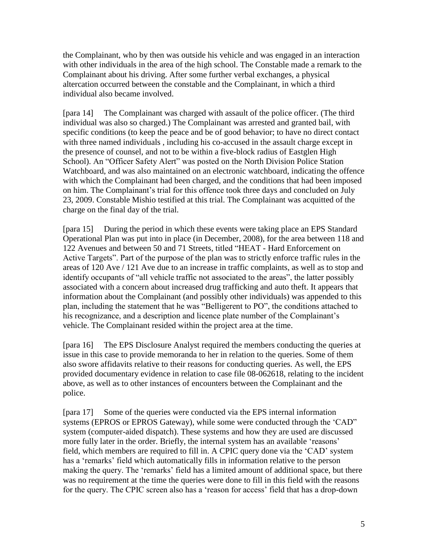the Complainant, who by then was outside his vehicle and was engaged in an interaction with other individuals in the area of the high school. The Constable made a remark to the Complainant about his driving. After some further verbal exchanges, a physical altercation occurred between the constable and the Complainant, in which a third individual also became involved.

[para 14] The Complainant was charged with assault of the police officer. (The third individual was also so charged.) The Complainant was arrested and granted bail, with specific conditions (to keep the peace and be of good behavior; to have no direct contact with three named individuals , including his co-accused in the assault charge except in the presence of counsel, and not to be within a five-block radius of Eastglen High School). An "Officer Safety Alert" was posted on the North Division Police Station Watchboard, and was also maintained on an electronic watchboard, indicating the offence with which the Complainant had been charged, and the conditions that had been imposed on him. The Complainant"s trial for this offence took three days and concluded on July 23, 2009. Constable Mishio testified at this trial. The Complainant was acquitted of the charge on the final day of the trial.

[para 15] During the period in which these events were taking place an EPS Standard Operational Plan was put into in place (in December, 2008), for the area between 118 and 122 Avenues and between 50 and 71 Streets, titled "HEAT - Hard Enforcement on Active Targets". Part of the purpose of the plan was to strictly enforce traffic rules in the areas of 120 Ave / 121 Ave due to an increase in traffic complaints, as well as to stop and identify occupants of "all vehicle traffic not associated to the areas", the latter possibly associated with a concern about increased drug trafficking and auto theft. It appears that information about the Complainant (and possibly other individuals) was appended to this plan, including the statement that he was "Belligerent to PO", the conditions attached to his recognizance, and a description and licence plate number of the Complainant's vehicle. The Complainant resided within the project area at the time.

[para 16] The EPS Disclosure Analyst required the members conducting the queries at issue in this case to provide memoranda to her in relation to the queries. Some of them also swore affidavits relative to their reasons for conducting queries. As well, the EPS provided documentary evidence in relation to case file 08-062618, relating to the incident above, as well as to other instances of encounters between the Complainant and the police.

[para 17] Some of the queries were conducted via the EPS internal information systems (EPROS or EPROS Gateway), while some were conducted through the "CAD" system (computer-aided dispatch). These systems and how they are used are discussed more fully later in the order. Briefly, the internal system has an available 'reasons' field, which members are required to fill in. A CPIC query done via the "CAD" system has a 'remarks' field which automatically fills in information relative to the person making the query. The 'remarks' field has a limited amount of additional space, but there was no requirement at the time the queries were done to fill in this field with the reasons for the query. The CPIC screen also has a 'reason for access' field that has a drop-down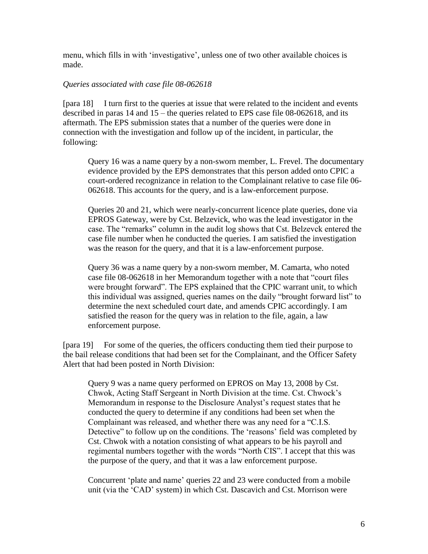menu, which fills in with "investigative", unless one of two other available choices is made.

#### *Queries associated with case file 08-062618*

[para 18] I turn first to the queries at issue that were related to the incident and events described in paras 14 and 15 – the queries related to EPS case file 08-062618, and its aftermath. The EPS submission states that a number of the queries were done in connection with the investigation and follow up of the incident, in particular, the following:

Query 16 was a name query by a non-sworn member, L. Frevel. The documentary evidence provided by the EPS demonstrates that this person added onto CPIC a court-ordered recognizance in relation to the Complainant relative to case file 06- 062618. This accounts for the query, and is a law-enforcement purpose.

Queries 20 and 21, which were nearly-concurrent licence plate queries, done via EPROS Gateway, were by Cst. Belzevick, who was the lead investigator in the case. The "remarks" column in the audit log shows that Cst. Belzevck entered the case file number when he conducted the queries. I am satisfied the investigation was the reason for the query, and that it is a law-enforcement purpose.

Query 36 was a name query by a non-sworn member, M. Camarta, who noted case file 08-062618 in her Memorandum together with a note that "court files were brought forward". The EPS explained that the CPIC warrant unit, to which this individual was assigned, queries names on the daily "brought forward list" to determine the next scheduled court date, and amends CPIC accordingly. I am satisfied the reason for the query was in relation to the file, again, a law enforcement purpose.

[para 19] For some of the queries, the officers conducting them tied their purpose to the bail release conditions that had been set for the Complainant, and the Officer Safety Alert that had been posted in North Division:

Query 9 was a name query performed on EPROS on May 13, 2008 by Cst. Chwok, Acting Staff Sergeant in North Division at the time. Cst. Chwock"s Memorandum in response to the Disclosure Analyst"s request states that he conducted the query to determine if any conditions had been set when the Complainant was released, and whether there was any need for a "C.I.S. Detective" to follow up on the conditions. The 'reasons' field was completed by Cst. Chwok with a notation consisting of what appears to be his payroll and regimental numbers together with the words "North CIS". I accept that this was the purpose of the query, and that it was a law enforcement purpose.

Concurrent "plate and name" queries 22 and 23 were conducted from a mobile unit (via the "CAD" system) in which Cst. Dascavich and Cst. Morrison were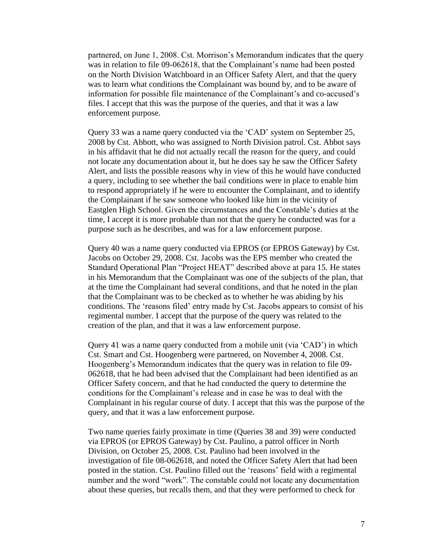partnered, on June 1, 2008. Cst. Morrison"s Memorandum indicates that the query was in relation to file 09-062618, that the Complainant's name had been posted on the North Division Watchboard in an Officer Safety Alert, and that the query was to learn what conditions the Complainant was bound by, and to be aware of information for possible file maintenance of the Complainant's and co-accused's files. I accept that this was the purpose of the queries, and that it was a law enforcement purpose.

Query 33 was a name query conducted via the "CAD" system on September 25, 2008 by Cst. Abbott, who was assigned to North Division patrol. Cst. Abbot says in his affidavit that he did not actually recall the reason for the query, and could not locate any documentation about it, but he does say he saw the Officer Safety Alert, and lists the possible reasons why in view of this he would have conducted a query, including to see whether the bail conditions were in place to enable him to respond appropriately if he were to encounter the Complainant, and to identify the Complainant if he saw someone who looked like him in the vicinity of Eastglen High School. Given the circumstances and the Constable"s duties at the time, I accept it is more probable than not that the query he conducted was for a purpose such as he describes, and was for a law enforcement purpose.

Query 40 was a name query conducted via EPROS (or EPROS Gateway) by Cst. Jacobs on October 29, 2008. Cst. Jacobs was the EPS member who created the Standard Operational Plan "Project HEAT" described above at para 15. He states in his Memorandum that the Complainant was one of the subjects of the plan, that at the time the Complainant had several conditions, and that he noted in the plan that the Complainant was to be checked as to whether he was abiding by his conditions. The "reasons filed" entry made by Cst. Jacobs appears to consist of his regimental number. I accept that the purpose of the query was related to the creation of the plan, and that it was a law enforcement purpose.

Query 41 was a name query conducted from a mobile unit (via "CAD") in which Cst. Smart and Cst. Hoogenberg were partnered, on November 4, 2008. Cst. Hoogenberg's Memorandum indicates that the query was in relation to file 09-062618, that he had been advised that the Complainant had been identified as an Officer Safety concern, and that he had conducted the query to determine the conditions for the Complainant"s release and in case he was to deal with the Complainant in his regular course of duty. I accept that this was the purpose of the query, and that it was a law enforcement purpose.

Two name queries fairly proximate in time (Queries 38 and 39) were conducted via EPROS (or EPROS Gateway) by Cst. Paulino, a patrol officer in North Division, on October 25, 2008. Cst. Paulino had been involved in the investigation of file 08-062618, and noted the Officer Safety Alert that had been posted in the station. Cst. Paulino filled out the 'reasons' field with a regimental number and the word "work". The constable could not locate any documentation about these queries, but recalls them, and that they were performed to check for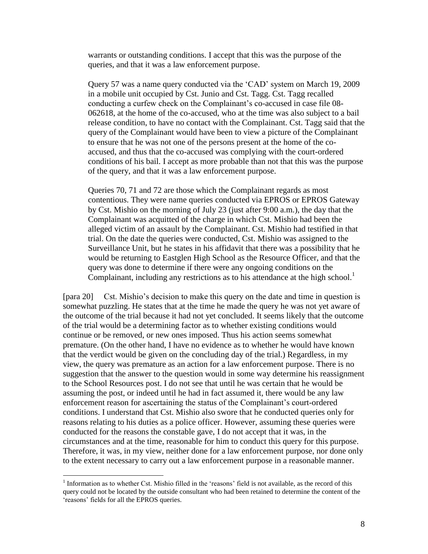warrants or outstanding conditions. I accept that this was the purpose of the queries, and that it was a law enforcement purpose.

Query 57 was a name query conducted via the "CAD" system on March 19, 2009 in a mobile unit occupied by Cst. Junio and Cst. Tagg. Cst. Tagg recalled conducting a curfew check on the Complainant's co-accused in case file 08-062618, at the home of the co-accused, who at the time was also subject to a bail release condition, to have no contact with the Complainant. Cst. Tagg said that the query of the Complainant would have been to view a picture of the Complainant to ensure that he was not one of the persons present at the home of the coaccused, and thus that the co-accused was complying with the court-ordered conditions of his bail. I accept as more probable than not that this was the purpose of the query, and that it was a law enforcement purpose.

Queries 70, 71 and 72 are those which the Complainant regards as most contentious. They were name queries conducted via EPROS or EPROS Gateway by Cst. Mishio on the morning of July 23 (just after 9:00 a.m.), the day that the Complainant was acquitted of the charge in which Cst. Mishio had been the alleged victim of an assault by the Complainant. Cst. Mishio had testified in that trial. On the date the queries were conducted, Cst. Mishio was assigned to the Surveillance Unit, but he states in his affidavit that there was a possibility that he would be returning to Eastglen High School as the Resource Officer, and that the query was done to determine if there were any ongoing conditions on the Complainant, including any restrictions as to his attendance at the high school.<sup>1</sup>

[para 20] Cst. Mishio"s decision to make this query on the date and time in question is somewhat puzzling. He states that at the time he made the query he was not yet aware of the outcome of the trial because it had not yet concluded. It seems likely that the outcome of the trial would be a determining factor as to whether existing conditions would continue or be removed, or new ones imposed. Thus his action seems somewhat premature. (On the other hand, I have no evidence as to whether he would have known that the verdict would be given on the concluding day of the trial.) Regardless, in my view, the query was premature as an action for a law enforcement purpose. There is no suggestion that the answer to the question would in some way determine his reassignment to the School Resources post. I do not see that until he was certain that he would be assuming the post, or indeed until he had in fact assumed it, there would be any law enforcement reason for ascertaining the status of the Complainant's court-ordered conditions. I understand that Cst. Mishio also swore that he conducted queries only for reasons relating to his duties as a police officer. However, assuming these queries were conducted for the reasons the constable gave, I do not accept that it was, in the circumstances and at the time, reasonable for him to conduct this query for this purpose. Therefore, it was, in my view, neither done for a law enforcement purpose, nor done only to the extent necessary to carry out a law enforcement purpose in a reasonable manner.

<sup>&</sup>lt;sup>1</sup> Information as to whether Cst. Mishio filled in the 'reasons' field is not available, as the record of this query could not be located by the outside consultant who had been retained to determine the content of the 'reasons' fields for all the EPROS queries.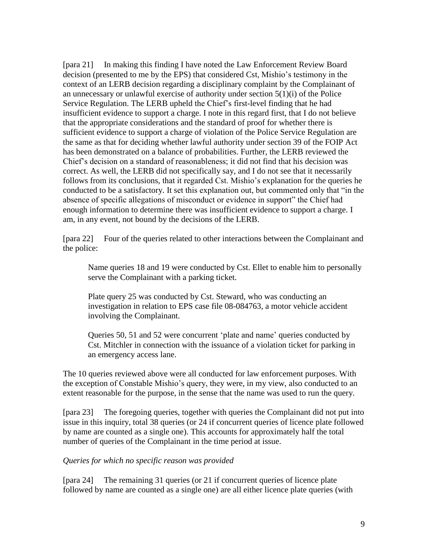[para 21] In making this finding I have noted the Law Enforcement Review Board decision (presented to me by the EPS) that considered Cst, Mishio"s testimony in the context of an LERB decision regarding a disciplinary complaint by the Complainant of an unnecessary or unlawful exercise of authority under section 5(1)(i) of the Police Service Regulation. The LERB upheld the Chief"s first-level finding that he had insufficient evidence to support a charge. I note in this regard first, that I do not believe that the appropriate considerations and the standard of proof for whether there is sufficient evidence to support a charge of violation of the Police Service Regulation are the same as that for deciding whether lawful authority under section 39 of the FOIP Act has been demonstrated on a balance of probabilities. Further, the LERB reviewed the Chief"s decision on a standard of reasonableness; it did not find that his decision was correct. As well, the LERB did not specifically say, and I do not see that it necessarily follows from its conclusions, that it regarded Cst. Mishio's explanation for the queries he conducted to be a satisfactory. It set this explanation out, but commented only that "in the absence of specific allegations of misconduct or evidence in support" the Chief had enough information to determine there was insufficient evidence to support a charge. I am, in any event, not bound by the decisions of the LERB.

[para 22] Four of the queries related to other interactions between the Complainant and the police:

Name queries 18 and 19 were conducted by Cst. Ellet to enable him to personally serve the Complainant with a parking ticket.

Plate query 25 was conducted by Cst. Steward, who was conducting an investigation in relation to EPS case file 08-084763, a motor vehicle accident involving the Complainant.

Queries 50, 51 and 52 were concurrent "plate and name" queries conducted by Cst. Mitchler in connection with the issuance of a violation ticket for parking in an emergency access lane.

The 10 queries reviewed above were all conducted for law enforcement purposes. With the exception of Constable Mishio"s query, they were, in my view, also conducted to an extent reasonable for the purpose, in the sense that the name was used to run the query.

[para 23] The foregoing queries, together with queries the Complainant did not put into issue in this inquiry, total 38 queries (or 24 if concurrent queries of licence plate followed by name are counted as a single one). This accounts for approximately half the total number of queries of the Complainant in the time period at issue.

#### *Queries for which no specific reason was provided*

[para 24] The remaining 31 queries (or 21 if concurrent queries of licence plate followed by name are counted as a single one) are all either licence plate queries (with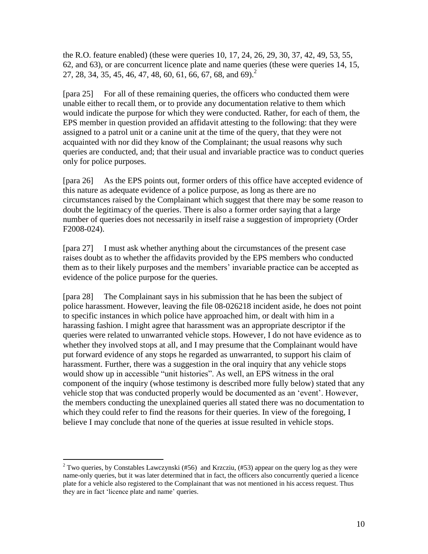the R.O. feature enabled) (these were queries 10, 17, 24, 26, 29, 30, 37, 42, 49, 53, 55, 62, and 63), or are concurrent licence plate and name queries (these were queries 14, 15, 27, 28, 34, 35, 45, 46, 47, 48, 60, 61, 66, 67, 68, and 69). 2

[para 25] For all of these remaining queries, the officers who conducted them were unable either to recall them, or to provide any documentation relative to them which would indicate the purpose for which they were conducted. Rather, for each of them, the EPS member in question provided an affidavit attesting to the following: that they were assigned to a patrol unit or a canine unit at the time of the query, that they were not acquainted with nor did they know of the Complainant; the usual reasons why such queries are conducted, and; that their usual and invariable practice was to conduct queries only for police purposes.

[para 26] As the EPS points out, former orders of this office have accepted evidence of this nature as adequate evidence of a police purpose, as long as there are no circumstances raised by the Complainant which suggest that there may be some reason to doubt the legitimacy of the queries. There is also a former order saying that a large number of queries does not necessarily in itself raise a suggestion of impropriety (Order F2008-024).

[para 27] I must ask whether anything about the circumstances of the present case raises doubt as to whether the affidavits provided by the EPS members who conducted them as to their likely purposes and the members' invariable practice can be accepted as evidence of the police purpose for the queries.

[para 28] The Complainant says in his submission that he has been the subject of police harassment. However, leaving the file 08-026218 incident aside, he does not point to specific instances in which police have approached him, or dealt with him in a harassing fashion. I might agree that harassment was an appropriate descriptor if the queries were related to unwarranted vehicle stops. However, I do not have evidence as to whether they involved stops at all, and I may presume that the Complainant would have put forward evidence of any stops he regarded as unwarranted, to support his claim of harassment. Further, there was a suggestion in the oral inquiry that any vehicle stops would show up in accessible "unit histories". As well, an EPS witness in the oral component of the inquiry (whose testimony is described more fully below) stated that any vehicle stop that was conducted properly would be documented as an "event". However, the members conducting the unexplained queries all stated there was no documentation to which they could refer to find the reasons for their queries. In view of the foregoing, I believe I may conclude that none of the queries at issue resulted in vehicle stops.

<sup>&</sup>lt;sup>2</sup> Two queries, by Constables Lawczynski (#56) and Krzcziu, (#53) appear on the query log as they were name-only queries, but it was later determined that in fact, the officers also concurrently queried a licence plate for a vehicle also registered to the Complainant that was not mentioned in his access request. Thus they are in fact "licence plate and name" queries.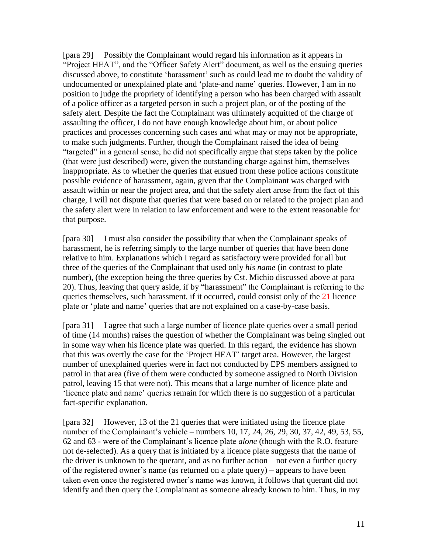[para 29] Possibly the Complainant would regard his information as it appears in "Project HEAT", and the "Officer Safety Alert" document, as well as the ensuing queries discussed above, to constitute "harassment" such as could lead me to doubt the validity of undocumented or unexplained plate and "plate-and name" queries. However, I am in no position to judge the propriety of identifying a person who has been charged with assault of a police officer as a targeted person in such a project plan, or of the posting of the safety alert. Despite the fact the Complainant was ultimately acquitted of the charge of assaulting the officer, I do not have enough knowledge about him, or about police practices and processes concerning such cases and what may or may not be appropriate, to make such judgments. Further, though the Complainant raised the idea of being "targeted" in a general sense, he did not specifically argue that steps taken by the police (that were just described) were, given the outstanding charge against him, themselves inappropriate. As to whether the queries that ensued from these police actions constitute possible evidence of harassment, again, given that the Complainant was charged with assault within or near the project area, and that the safety alert arose from the fact of this charge, I will not dispute that queries that were based on or related to the project plan and the safety alert were in relation to law enforcement and were to the extent reasonable for that purpose.

[para 30] I must also consider the possibility that when the Complainant speaks of harassment, he is referring simply to the large number of queries that have been done relative to him. Explanations which I regard as satisfactory were provided for all but three of the queries of the Complainant that used only *his name* (in contrast to plate number), (the exception being the three queries by Cst. Michio discussed above at para 20). Thus, leaving that query aside, if by "harassment" the Complainant is referring to the queries themselves, such harassment, if it occurred, could consist only of the 21 licence plate or "plate and name" queries that are not explained on a case-by-case basis.

[para 31] I agree that such a large number of licence plate queries over a small period of time (14 months) raises the question of whether the Complainant was being singled out in some way when his licence plate was queried. In this regard, the evidence has shown that this was overtly the case for the "Project HEAT" target area. However, the largest number of unexplained queries were in fact not conducted by EPS members assigned to patrol in that area (five of them were conducted by someone assigned to North Division patrol, leaving 15 that were not). This means that a large number of licence plate and "licence plate and name" queries remain for which there is no suggestion of a particular fact-specific explanation.

[para 32] However, 13 of the 21 queries that were initiated using the licence plate number of the Complainant's vehicle – numbers 10, 17, 24, 26, 29, 30, 37, 42, 49, 53, 55, 62 and 63 - were of the Complainant"s licence plate *alone* (though with the R.O. feature not de-selected). As a query that is initiated by a licence plate suggests that the name of the driver is unknown to the querant, and as no further action – not even a further query of the registered owner"s name (as returned on a plate query) – appears to have been taken even once the registered owner's name was known, it follows that querant did not identify and then query the Complainant as someone already known to him. Thus, in my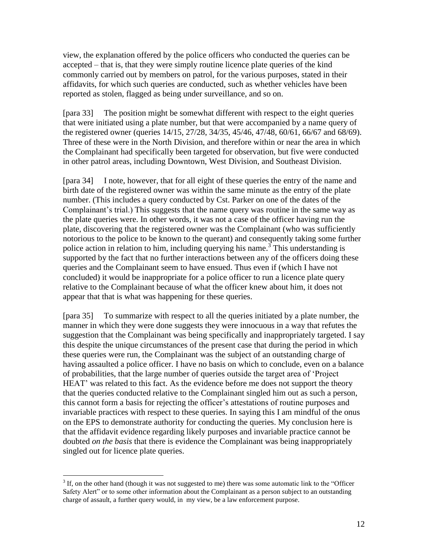view, the explanation offered by the police officers who conducted the queries can be accepted – that is, that they were simply routine licence plate queries of the kind commonly carried out by members on patrol, for the various purposes, stated in their affidavits, for which such queries are conducted, such as whether vehicles have been reported as stolen, flagged as being under surveillance, and so on.

[para 33] The position might be somewhat different with respect to the eight queries that were initiated using a plate number, but that were accompanied by a name query of the registered owner (queries 14/15, 27/28, 34/35, 45/46, 47/48, 60/61, 66/67 and 68/69). Three of these were in the North Division, and therefore within or near the area in which the Complainant had specifically been targeted for observation, but five were conducted in other patrol areas, including Downtown, West Division, and Southeast Division.

[para 34] I note, however, that for all eight of these queries the entry of the name and birth date of the registered owner was within the same minute as the entry of the plate number. (This includes a query conducted by Cst. Parker on one of the dates of the Complainant"s trial.) This suggests that the name query was routine in the same way as the plate queries were. In other words, it was not a case of the officer having run the plate, discovering that the registered owner was the Complainant (who was sufficiently notorious to the police to be known to the querant) and consequently taking some further police action in relation to him, including querying his name.<sup>3</sup> This understanding is supported by the fact that no further interactions between any of the officers doing these queries and the Complainant seem to have ensued. Thus even if (which I have not concluded) it would be inappropriate for a police officer to run a licence plate query relative to the Complainant because of what the officer knew about him, it does not appear that that is what was happening for these queries.

[para 35] To summarize with respect to all the queries initiated by a plate number, the manner in which they were done suggests they were innocuous in a way that refutes the suggestion that the Complainant was being specifically and inappropriately targeted. I say this despite the unique circumstances of the present case that during the period in which these queries were run, the Complainant was the subject of an outstanding charge of having assaulted a police officer. I have no basis on which to conclude, even on a balance of probabilities, that the large number of queries outside the target area of "Project HEAT" was related to this fact. As the evidence before me does not support the theory that the queries conducted relative to the Complainant singled him out as such a person, this cannot form a basis for rejecting the officer"s attestations of routine purposes and invariable practices with respect to these queries. In saying this I am mindful of the onus on the EPS to demonstrate authority for conducting the queries. My conclusion here is that the affidavit evidence regarding likely purposes and invariable practice cannot be doubted *on the basis* that there is evidence the Complainant was being inappropriately singled out for licence plate queries.

 $3$  If, on the other hand (though it was not suggested to me) there was some automatic link to the "Officer Safety Alert" or to some other information about the Complainant as a person subject to an outstanding charge of assault, a further query would, in my view, be a law enforcement purpose.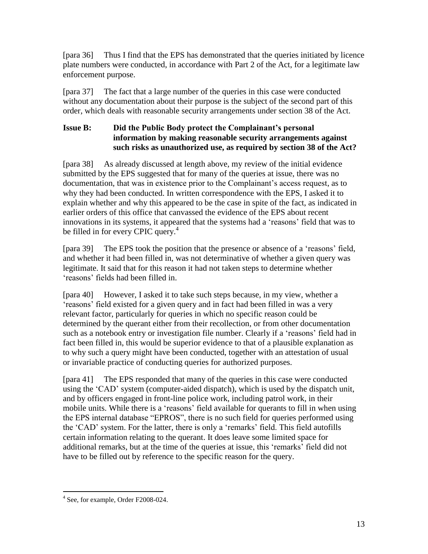[para 36] Thus I find that the EPS has demonstrated that the queries initiated by licence plate numbers were conducted, in accordance with Part 2 of the Act, for a legitimate law enforcement purpose.

[para 37] The fact that a large number of the queries in this case were conducted without any documentation about their purpose is the subject of the second part of this order, which deals with reasonable security arrangements under section 38 of the Act.

#### **Issue B: Did the Public Body protect the Complainant's personal information by making reasonable security arrangements against such risks as unauthorized use, as required by section 38 of the Act?**

[para 38] As already discussed at length above, my review of the initial evidence submitted by the EPS suggested that for many of the queries at issue, there was no documentation, that was in existence prior to the Complainant's access request, as to why they had been conducted. In written correspondence with the EPS, I asked it to explain whether and why this appeared to be the case in spite of the fact, as indicated in earlier orders of this office that canvassed the evidence of the EPS about recent innovations in its systems, it appeared that the systems had a "reasons" field that was to be filled in for every CPIC query.<sup>4</sup>

[para 39] The EPS took the position that the presence or absence of a "reasons" field, and whether it had been filled in, was not determinative of whether a given query was legitimate. It said that for this reason it had not taken steps to determine whether "reasons" fields had been filled in.

[para 40] However, I asked it to take such steps because, in my view, whether a "reasons" field existed for a given query and in fact had been filled in was a very relevant factor, particularly for queries in which no specific reason could be determined by the querant either from their recollection, or from other documentation such as a notebook entry or investigation file number. Clearly if a 'reasons' field had in fact been filled in, this would be superior evidence to that of a plausible explanation as to why such a query might have been conducted, together with an attestation of usual or invariable practice of conducting queries for authorized purposes.

[para 41] The EPS responded that many of the queries in this case were conducted using the "CAD" system (computer-aided dispatch), which is used by the dispatch unit, and by officers engaged in front-line police work, including patrol work, in their mobile units. While there is a "reasons" field available for querants to fill in when using the EPS internal database "EPROS", there is no such field for queries performed using the "CAD" system. For the latter, there is only a "remarks" field. This field autofills certain information relating to the querant. It does leave some limited space for additional remarks, but at the time of the queries at issue, this 'remarks' field did not have to be filled out by reference to the specific reason for the query.

<sup>&</sup>lt;sup>4</sup> See, for example, Order F2008-024.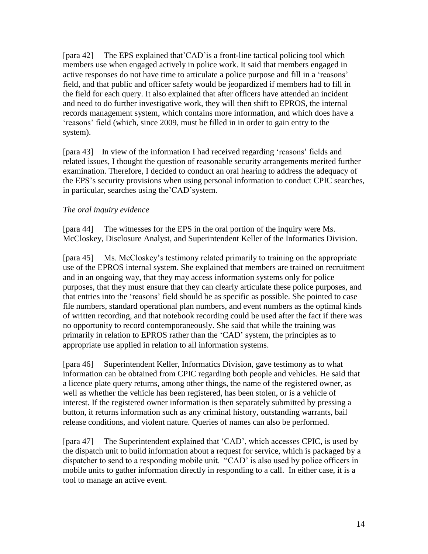[para 42] The EPS explained that"CAD"is a front-line tactical policing tool which members use when engaged actively in police work. It said that members engaged in active responses do not have time to articulate a police purpose and fill in a "reasons" field, and that public and officer safety would be jeopardized if members had to fill in the field for each query. It also explained that after officers have attended an incident and need to do further investigative work, they will then shift to EPROS, the internal records management system, which contains more information, and which does have a "reasons" field (which, since 2009, must be filled in in order to gain entry to the system).

[para 43] In view of the information I had received regarding "reasons" fields and related issues, I thought the question of reasonable security arrangements merited further examination. Therefore, I decided to conduct an oral hearing to address the adequacy of the EPS"s security provisions when using personal information to conduct CPIC searches, in particular, searches using the"CAD"system.

## *The oral inquiry evidence*

[para 44] The witnesses for the EPS in the oral portion of the inquiry were Ms. McCloskey, Disclosure Analyst, and Superintendent Keller of the Informatics Division.

[para 45] Ms. McCloskey"s testimony related primarily to training on the appropriate use of the EPROS internal system. She explained that members are trained on recruitment and in an ongoing way, that they may access information systems only for police purposes, that they must ensure that they can clearly articulate these police purposes, and that entries into the "reasons" field should be as specific as possible. She pointed to case file numbers, standard operational plan numbers, and event numbers as the optimal kinds of written recording, and that notebook recording could be used after the fact if there was no opportunity to record contemporaneously. She said that while the training was primarily in relation to EPROS rather than the "CAD" system, the principles as to appropriate use applied in relation to all information systems.

[para 46] Superintendent Keller, Informatics Division, gave testimony as to what information can be obtained from CPIC regarding both people and vehicles. He said that a licence plate query returns, among other things, the name of the registered owner, as well as whether the vehicle has been registered, has been stolen, or is a vehicle of interest. If the registered owner information is then separately submitted by pressing a button, it returns information such as any criminal history, outstanding warrants, bail release conditions, and violent nature. Queries of names can also be performed.

[para 47] The Superintendent explained that "CAD", which accesses CPIC, is used by the dispatch unit to build information about a request for service, which is packaged by a dispatcher to send to a responding mobile unit. "CAD" is also used by police officers in mobile units to gather information directly in responding to a call. In either case, it is a tool to manage an active event.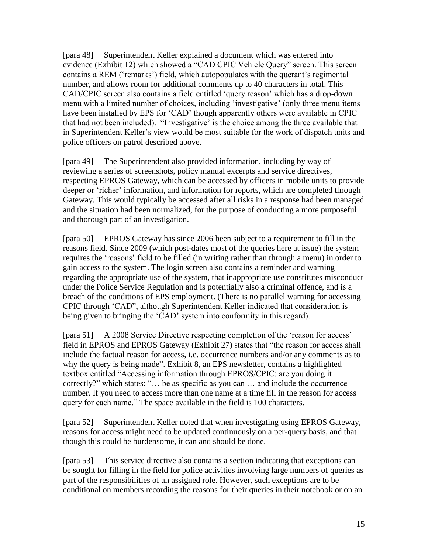[para 48] Superintendent Keller explained a document which was entered into evidence (Exhibit 12) which showed a "CAD CPIC Vehicle Query" screen. This screen contains a REM ("remarks") field, which autopopulates with the querant"s regimental number, and allows room for additional comments up to 40 characters in total. This CAD/CPIC screen also contains a field entitled "query reason" which has a drop-down menu with a limited number of choices, including "investigative" (only three menu items have been installed by EPS for "CAD" though apparently others were available in CPIC that had not been included). "Investigative" is the choice among the three available that in Superintendent Keller"s view would be most suitable for the work of dispatch units and police officers on patrol described above.

[para 49] The Superintendent also provided information, including by way of reviewing a series of screenshots, policy manual excerpts and service directives, respecting EPROS Gateway, which can be accessed by officers in mobile units to provide deeper or "richer" information, and information for reports, which are completed through Gateway. This would typically be accessed after all risks in a response had been managed and the situation had been normalized, for the purpose of conducting a more purposeful and thorough part of an investigation.

[para 50] EPROS Gateway has since 2006 been subject to a requirement to fill in the reasons field. Since 2009 (which post-dates most of the queries here at issue) the system requires the "reasons" field to be filled (in writing rather than through a menu) in order to gain access to the system. The login screen also contains a reminder and warning regarding the appropriate use of the system, that inappropriate use constitutes misconduct under the Police Service Regulation and is potentially also a criminal offence, and is a breach of the conditions of EPS employment. (There is no parallel warning for accessing CPIC through "CAD", although Superintendent Keller indicated that consideration is being given to bringing the "CAD" system into conformity in this regard).

[para 51] A 2008 Service Directive respecting completion of the "reason for access" field in EPROS and EPROS Gateway (Exhibit 27) states that "the reason for access shall include the factual reason for access, i.e. occurrence numbers and/or any comments as to why the query is being made". Exhibit 8, an EPS newsletter, contains a highlighted textbox entitled "Accessing information through EPROS/CPIC: are you doing it correctly?" which states: "… be as specific as you can … and include the occurrence number. If you need to access more than one name at a time fill in the reason for access query for each name." The space available in the field is 100 characters.

[para 52] Superintendent Keller noted that when investigating using EPROS Gateway, reasons for access might need to be updated continuously on a per-query basis, and that though this could be burdensome, it can and should be done.

[para 53] This service directive also contains a section indicating that exceptions can be sought for filling in the field for police activities involving large numbers of queries as part of the responsibilities of an assigned role. However, such exceptions are to be conditional on members recording the reasons for their queries in their notebook or on an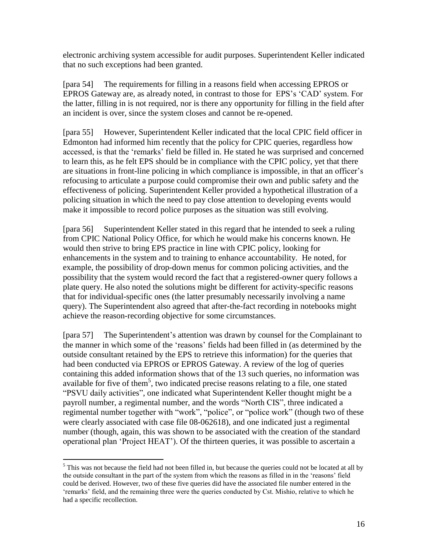electronic archiving system accessible for audit purposes. Superintendent Keller indicated that no such exceptions had been granted.

[para 54] The requirements for filling in a reasons field when accessing EPROS or EPROS Gateway are, as already noted, in contrast to those for EPS"s "CAD" system. For the latter, filling in is not required, nor is there any opportunity for filling in the field after an incident is over, since the system closes and cannot be re-opened.

[para 55] However, Superintendent Keller indicated that the local CPIC field officer in Edmonton had informed him recently that the policy for CPIC queries, regardless how accessed, is that the "remarks" field be filled in. He stated he was surprised and concerned to learn this, as he felt EPS should be in compliance with the CPIC policy, yet that there are situations in front-line policing in which compliance is impossible, in that an officer"s refocusing to articulate a purpose could compromise their own and public safety and the effectiveness of policing. Superintendent Keller provided a hypothetical illustration of a policing situation in which the need to pay close attention to developing events would make it impossible to record police purposes as the situation was still evolving.

[para 56] Superintendent Keller stated in this regard that he intended to seek a ruling from CPIC National Policy Office, for which he would make his concerns known. He would then strive to bring EPS practice in line with CPIC policy, looking for enhancements in the system and to training to enhance accountability. He noted, for example, the possibility of drop-down menus for common policing activities, and the possibility that the system would record the fact that a registered-owner query follows a plate query. He also noted the solutions might be different for activity-specific reasons that for individual-specific ones (the latter presumably necessarily involving a name query). The Superintendent also agreed that after-the-fact recording in notebooks might achieve the reason-recording objective for some circumstances.

[para 57] The Superintendent"s attention was drawn by counsel for the Complainant to the manner in which some of the "reasons" fields had been filled in (as determined by the outside consultant retained by the EPS to retrieve this information) for the queries that had been conducted via EPROS or EPROS Gateway. A review of the log of queries containing this added information shows that of the 13 such queries, no information was available for five of them<sup>5</sup>, two indicated precise reasons relating to a file, one stated "PSVU daily activities", one indicated what Superintendent Keller thought might be a payroll number, a regimental number, and the words "North CIS", three indicated a regimental number together with "work", "police", or "police work" (though two of these were clearly associated with case file 08-062618), and one indicated just a regimental number (though, again, this was shown to be associated with the creation of the standard operational plan "Project HEAT"). Of the thirteen queries, it was possible to ascertain a

 $<sup>5</sup>$  This was not because the field had not been filled in, but because the queries could not be located at all by</sup> the outside consultant in the part of the system from which the reasons as filled in in the "reasons" field could be derived. However, two of these five queries did have the associated file number entered in the "remarks" field, and the remaining three were the queries conducted by Cst. Mishio, relative to which he had a specific recollection.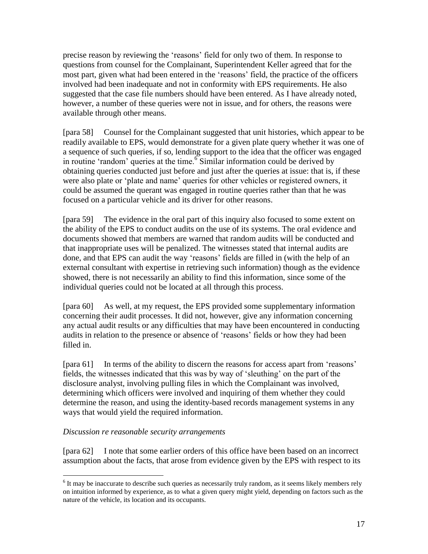precise reason by reviewing the "reasons" field for only two of them. In response to questions from counsel for the Complainant, Superintendent Keller agreed that for the most part, given what had been entered in the "reasons" field, the practice of the officers involved had been inadequate and not in conformity with EPS requirements. He also suggested that the case file numbers should have been entered. As I have already noted, however, a number of these queries were not in issue, and for others, the reasons were available through other means.

[para 58] Counsel for the Complainant suggested that unit histories, which appear to be readily available to EPS, would demonstrate for a given plate query whether it was one of a sequence of such queries, if so, lending support to the idea that the officer was engaged in routine 'random' queries at the time.  $\frac{6}{9}$  Similar information could be derived by obtaining queries conducted just before and just after the queries at issue: that is, if these were also plate or "plate and name" queries for other vehicles or registered owners, it could be assumed the querant was engaged in routine queries rather than that he was focused on a particular vehicle and its driver for other reasons.

[para 59] The evidence in the oral part of this inquiry also focused to some extent on the ability of the EPS to conduct audits on the use of its systems. The oral evidence and documents showed that members are warned that random audits will be conducted and that inappropriate uses will be penalized. The witnesses stated that internal audits are done, and that EPS can audit the way "reasons" fields are filled in (with the help of an external consultant with expertise in retrieving such information) though as the evidence showed, there is not necessarily an ability to find this information, since some of the individual queries could not be located at all through this process.

[para 60] As well, at my request, the EPS provided some supplementary information concerning their audit processes. It did not, however, give any information concerning any actual audit results or any difficulties that may have been encountered in conducting audits in relation to the presence or absence of "reasons" fields or how they had been filled in.

[para 61] In terms of the ability to discern the reasons for access apart from 'reasons' fields, the witnesses indicated that this was by way of "sleuthing" on the part of the disclosure analyst, involving pulling files in which the Complainant was involved, determining which officers were involved and inquiring of them whether they could determine the reason, and using the identity-based records management systems in any ways that would yield the required information.

## *Discussion re reasonable security arrangements*

[para 62] I note that some earlier orders of this office have been based on an incorrect assumption about the facts, that arose from evidence given by the EPS with respect to its

 $\overline{a}$ <sup>6</sup> It may be inaccurate to describe such queries as necessarily truly random, as it seems likely members rely on intuition informed by experience, as to what a given query might yield, depending on factors such as the nature of the vehicle, its location and its occupants.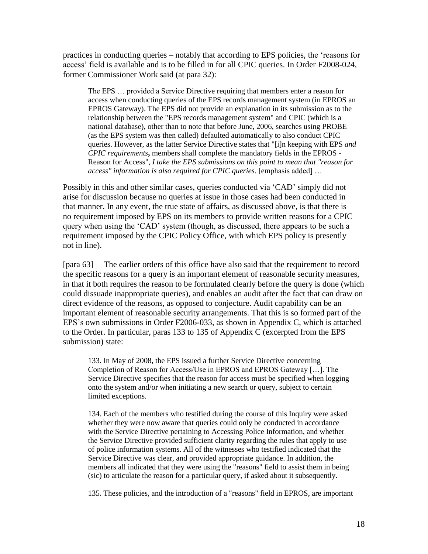practices in conducting queries – notably that according to EPS policies, the "reasons for access" field is available and is to be filled in for all CPIC queries. In Order F2008-024, former Commissioner Work said (at para 32):

The EPS … provided a Service Directive requiring that members enter a reason for access when conducting queries of the EPS records management system (in EPROS an EPROS Gateway). The EPS did not provide an explanation in its submission as to the relationship between the "EPS records management system" and CPIC (which is a national database), other than to note that before June, 2006, searches using PROBE (as the EPS system was then called) defaulted automatically to also conduct CPIC queries. However, as the latter Service Directive states that "[i]n keeping with EPS *and CPIC requirements***,** members shall complete the mandatory fields in the EPROS - Reason for Access", *I take the EPS submissions on this point to mean that "reason for access" information is also required for CPIC queries.* [emphasis added] …

Possibly in this and other similar cases, queries conducted via "CAD" simply did not arise for discussion because no queries at issue in those cases had been conducted in that manner. In any event, the true state of affairs, as discussed above, is that there is no requirement imposed by EPS on its members to provide written reasons for a CPIC query when using the "CAD" system (though, as discussed, there appears to be such a requirement imposed by the CPIC Policy Office, with which EPS policy is presently not in line).

[para 63] The earlier orders of this office have also said that the requirement to record the specific reasons for a query is an important element of reasonable security measures, in that it both requires the reason to be formulated clearly before the query is done (which could dissuade inappropriate queries), and enables an audit after the fact that can draw on direct evidence of the reasons, as opposed to conjecture. Audit capability can be an important element of reasonable security arrangements. That this is so formed part of the EPS"s own submissions in Order F2006-033, as shown in Appendix C, which is attached to the Order. In particular, paras 133 to 135 of Appendix C (excerpted from the EPS submission) state:

133. In May of 2008, the EPS issued a further Service Directive concerning Completion of Reason for Access/Use in EPROS and EPROS Gateway […]. The Service Directive specifies that the reason for access must be specified when logging onto the system and/or when initiating a new search or query, subject to certain limited exceptions.

134. Each of the members who testified during the course of this Inquiry were asked whether they were now aware that queries could only be conducted in accordance with the Service Directive pertaining to Accessing Police Information, and whether the Service Directive provided sufficient clarity regarding the rules that apply to use of police information systems. All of the witnesses who testified indicated that the Service Directive was clear, and provided appropriate guidance. In addition, the members all indicated that they were using the "reasons" field to assist them in being (sic) to articulate the reason for a particular query, if asked about it subsequently.

135. These policies, and the introduction of a "reasons" field in EPROS, are important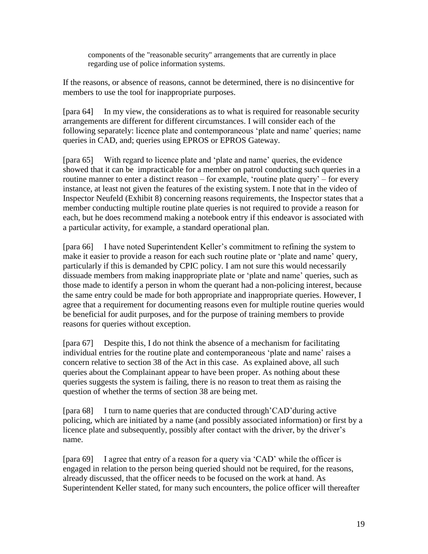components of the "reasonable security" arrangements that are currently in place regarding use of police information systems.

If the reasons, or absence of reasons, cannot be determined, there is no disincentive for members to use the tool for inappropriate purposes.

[para 64] In my view, the considerations as to what is required for reasonable security arrangements are different for different circumstances. I will consider each of the following separately: licence plate and contemporaneous "plate and name" queries; name queries in CAD, and; queries using EPROS or EPROS Gateway.

[para 65] With regard to licence plate and "plate and name" queries, the evidence showed that it can be impracticable for a member on patrol conducting such queries in a routine manner to enter a distinct reason – for example, "routine plate query" – for every instance, at least not given the features of the existing system. I note that in the video of Inspector Neufeld (Exhibit 8) concerning reasons requirements, the Inspector states that a member conducting multiple routine plate queries is not required to provide a reason for each, but he does recommend making a notebook entry if this endeavor is associated with a particular activity, for example, a standard operational plan.

[para 66] I have noted Superintendent Keller"s commitment to refining the system to make it easier to provide a reason for each such routine plate or 'plate and name' query, particularly if this is demanded by CPIC policy. I am not sure this would necessarily dissuade members from making inappropriate plate or 'plate and name' queries, such as those made to identify a person in whom the querant had a non-policing interest, because the same entry could be made for both appropriate and inappropriate queries. However, I agree that a requirement for documenting reasons even for multiple routine queries would be beneficial for audit purposes, and for the purpose of training members to provide reasons for queries without exception.

[para 67] Despite this, I do not think the absence of a mechanism for facilitating individual entries for the routine plate and contemporaneous "plate and name" raises a concern relative to section 38 of the Act in this case. As explained above, all such queries about the Complainant appear to have been proper. As nothing about these queries suggests the system is failing, there is no reason to treat them as raising the question of whether the terms of section 38 are being met.

[para 68] I turn to name queries that are conducted through 'CAD' during active policing, which are initiated by a name (and possibly associated information) or first by a licence plate and subsequently, possibly after contact with the driver, by the driver's name.

[para 69] I agree that entry of a reason for a query via 'CAD' while the officer is engaged in relation to the person being queried should not be required, for the reasons, already discussed, that the officer needs to be focused on the work at hand. As Superintendent Keller stated, for many such encounters, the police officer will thereafter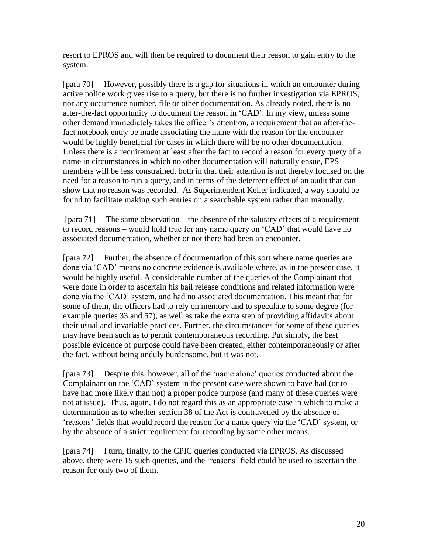resort to EPROS and will then be required to document their reason to gain entry to the system.

[para 70] However, possibly there is a gap for situations in which an encounter during active police work gives rise to a query, but there is no further investigation via EPROS, nor any occurrence number, file or other documentation. As already noted, there is no after-the-fact opportunity to document the reason in "CAD". In my view, unless some other demand immediately takes the officer"s attention, a requirement that an after-thefact notebook entry be made associating the name with the reason for the encounter would be highly beneficial for cases in which there will be no other documentation. Unless there is a requirement at least after the fact to record a reason for every query of a name in circumstances in which no other documentation will naturally ensue, EPS members will be less constrained, both in that their attention is not thereby focused on the need for a reason to run a query, and in terms of the deterrent effect of an audit that can show that no reason was recorded. As Superintendent Keller indicated, a way should be found to facilitate making such entries on a searchable system rather than manually.

[para 71] The same observation – the absence of the salutary effects of a requirement to record reasons – would hold true for any name query on "CAD" that would have no associated documentation, whether or not there had been an encounter.

[para 72] Further, the absence of documentation of this sort where name queries are done via "CAD" means no concrete evidence is available where, as in the present case, it would be highly useful. A considerable number of the queries of the Complainant that were done in order to ascertain his bail release conditions and related information were done via the "CAD" system, and had no associated documentation. This meant that for some of them, the officers had to rely on memory and to speculate to some degree (for example queries 33 and 57), as well as take the extra step of providing affidavits about their usual and invariable practices. Further, the circumstances for some of these queries may have been such as to permit contemporaneous recording. Put simply, the best possible evidence of purpose could have been created, either contemporaneously or after the fact, without being unduly burdensome, but it was not.

[para 73] Despite this, however, all of the "name alone" queries conducted about the Complainant on the "CAD" system in the present case were shown to have had (or to have had more likely than not) a proper police purpose (and many of these queries were not at issue). Thus, again, I do not regard this as an appropriate case in which to make a determination as to whether section 38 of the Act is contravened by the absence of 'reasons' fields that would record the reason for a name query via the 'CAD' system, or by the absence of a strict requirement for recording by some other means.

[para 74] I turn, finally, to the CPIC queries conducted via EPROS. As discussed above, there were 15 such queries, and the "reasons" field could be used to ascertain the reason for only two of them.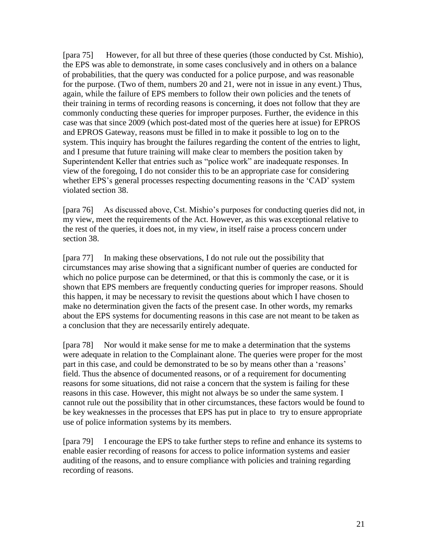[para 75] However, for all but three of these queries (those conducted by Cst. Mishio), the EPS was able to demonstrate, in some cases conclusively and in others on a balance of probabilities, that the query was conducted for a police purpose, and was reasonable for the purpose. (Two of them, numbers 20 and 21, were not in issue in any event.) Thus, again, while the failure of EPS members to follow their own policies and the tenets of their training in terms of recording reasons is concerning, it does not follow that they are commonly conducting these queries for improper purposes. Further, the evidence in this case was that since 2009 (which post-dated most of the queries here at issue) for EPROS and EPROS Gateway, reasons must be filled in to make it possible to log on to the system. This inquiry has brought the failures regarding the content of the entries to light, and I presume that future training will make clear to members the position taken by Superintendent Keller that entries such as "police work" are inadequate responses. In view of the foregoing, I do not consider this to be an appropriate case for considering whether EPS's general processes respecting documenting reasons in the 'CAD' system violated section 38.

[para 76] As discussed above, Cst. Mishio"s purposes for conducting queries did not, in my view, meet the requirements of the Act. However, as this was exceptional relative to the rest of the queries, it does not, in my view, in itself raise a process concern under section 38.

[para 77] In making these observations, I do not rule out the possibility that circumstances may arise showing that a significant number of queries are conducted for which no police purpose can be determined, or that this is commonly the case, or it is shown that EPS members are frequently conducting queries for improper reasons. Should this happen, it may be necessary to revisit the questions about which I have chosen to make no determination given the facts of the present case. In other words, my remarks about the EPS systems for documenting reasons in this case are not meant to be taken as a conclusion that they are necessarily entirely adequate.

[para 78] Nor would it make sense for me to make a determination that the systems were adequate in relation to the Complainant alone. The queries were proper for the most part in this case, and could be demonstrated to be so by means other than a 'reasons' field. Thus the absence of documented reasons, or of a requirement for documenting reasons for some situations, did not raise a concern that the system is failing for these reasons in this case. However, this might not always be so under the same system. I cannot rule out the possibility that in other circumstances, these factors would be found to be key weaknesses in the processes that EPS has put in place to try to ensure appropriate use of police information systems by its members.

[para 79] I encourage the EPS to take further steps to refine and enhance its systems to enable easier recording of reasons for access to police information systems and easier auditing of the reasons, and to ensure compliance with policies and training regarding recording of reasons.